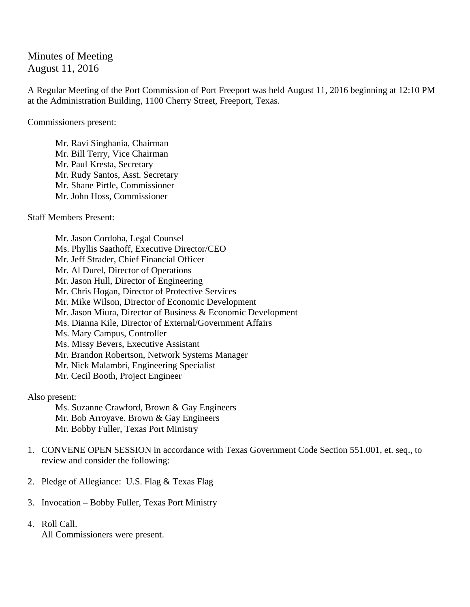Minutes of Meeting August 11, 2016

A Regular Meeting of the Port Commission of Port Freeport was held August 11, 2016 beginning at 12:10 PM at the Administration Building, 1100 Cherry Street, Freeport, Texas.

Commissioners present:

 Mr. Ravi Singhania, Chairman Mr. Bill Terry, Vice Chairman Mr. Paul Kresta, Secretary Mr. Rudy Santos, Asst. Secretary Mr. Shane Pirtle, Commissioner Mr. John Hoss, Commissioner

Staff Members Present:

Mr. Jason Cordoba, Legal Counsel Ms. Phyllis Saathoff, Executive Director/CEO Mr. Jeff Strader, Chief Financial Officer Mr. Al Durel, Director of Operations Mr. Jason Hull, Director of Engineering Mr. Chris Hogan, Director of Protective Services Mr. Mike Wilson, Director of Economic Development Mr. Jason Miura, Director of Business & Economic Development Ms. Dianna Kile, Director of External/Government Affairs Ms. Mary Campus, Controller Ms. Missy Bevers, Executive Assistant Mr. Brandon Robertson, Network Systems Manager Mr. Nick Malambri, Engineering Specialist Mr. Cecil Booth, Project Engineer

Also present:

Ms. Suzanne Crawford, Brown & Gay Engineers Mr. Bob Arroyave. Brown & Gay Engineers Mr. Bobby Fuller, Texas Port Ministry

- 1. CONVENE OPEN SESSION in accordance with Texas Government Code Section 551.001, et. seq., to review and consider the following:
- 2. Pledge of Allegiance: U.S. Flag & Texas Flag
- 3. Invocation Bobby Fuller, Texas Port Ministry
- 4. Roll Call. All Commissioners were present.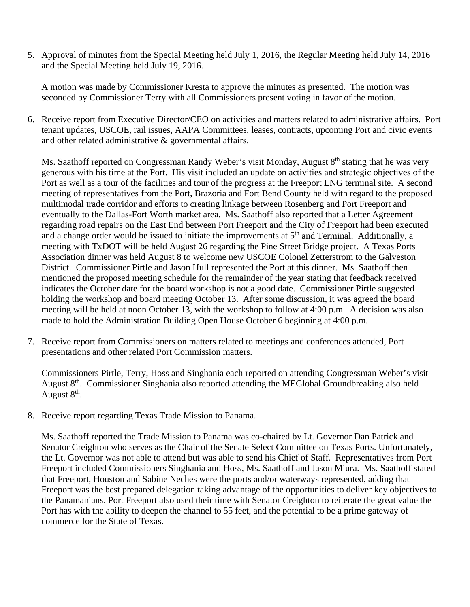5. Approval of minutes from the Special Meeting held July 1, 2016, the Regular Meeting held July 14, 2016 and the Special Meeting held July 19, 2016.

A motion was made by Commissioner Kresta to approve the minutes as presented. The motion was seconded by Commissioner Terry with all Commissioners present voting in favor of the motion.

6. Receive report from Executive Director/CEO on activities and matters related to administrative affairs. Port tenant updates, USCOE, rail issues, AAPA Committees, leases, contracts, upcoming Port and civic events and other related administrative & governmental affairs.

Ms. Saathoff reported on Congressman Randy Weber's visit Monday, August 8<sup>th</sup> stating that he was very generous with his time at the Port. His visit included an update on activities and strategic objectives of the Port as well as a tour of the facilities and tour of the progress at the Freeport LNG terminal site. A second meeting of representatives from the Port, Brazoria and Fort Bend County held with regard to the proposed multimodal trade corridor and efforts to creating linkage between Rosenberg and Port Freeport and eventually to the Dallas-Fort Worth market area. Ms. Saathoff also reported that a Letter Agreement regarding road repairs on the East End between Port Freeport and the City of Freeport had been executed and a change order would be issued to initiate the improvements at  $5<sup>th</sup>$  and Terminal. Additionally, a meeting with TxDOT will be held August 26 regarding the Pine Street Bridge project. A Texas Ports Association dinner was held August 8 to welcome new USCOE Colonel Zetterstrom to the Galveston District. Commissioner Pirtle and Jason Hull represented the Port at this dinner. Ms. Saathoff then mentioned the proposed meeting schedule for the remainder of the year stating that feedback received indicates the October date for the board workshop is not a good date. Commissioner Pirtle suggested holding the workshop and board meeting October 13. After some discussion, it was agreed the board meeting will be held at noon October 13, with the workshop to follow at 4:00 p.m. A decision was also made to hold the Administration Building Open House October 6 beginning at 4:00 p.m.

7. Receive report from Commissioners on matters related to meetings and conferences attended, Port presentations and other related Port Commission matters.

Commissioners Pirtle, Terry, Hoss and Singhania each reported on attending Congressman Weber's visit August 8<sup>th</sup>. Commissioner Singhania also reported attending the MEGlobal Groundbreaking also held August 8<sup>th</sup>.

8. Receive report regarding Texas Trade Mission to Panama.

Ms. Saathoff reported the Trade Mission to Panama was co-chaired by Lt. Governor Dan Patrick and Senator Creighton who serves as the Chair of the Senate Select Committee on Texas Ports. Unfortunately, the Lt. Governor was not able to attend but was able to send his Chief of Staff. Representatives from Port Freeport included Commissioners Singhania and Hoss, Ms. Saathoff and Jason Miura. Ms. Saathoff stated that Freeport, Houston and Sabine Neches were the ports and/or waterways represented, adding that Freeport was the best prepared delegation taking advantage of the opportunities to deliver key objectives to the Panamanians. Port Freeport also used their time with Senator Creighton to reiterate the great value the Port has with the ability to deepen the channel to 55 feet, and the potential to be a prime gateway of commerce for the State of Texas.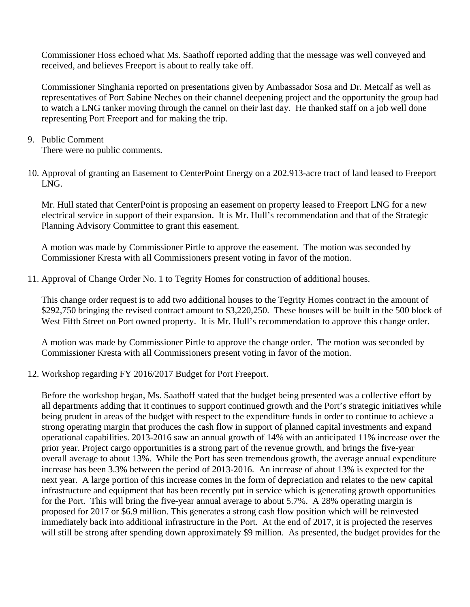Commissioner Hoss echoed what Ms. Saathoff reported adding that the message was well conveyed and received, and believes Freeport is about to really take off.

Commissioner Singhania reported on presentations given by Ambassador Sosa and Dr. Metcalf as well as representatives of Port Sabine Neches on their channel deepening project and the opportunity the group had to watch a LNG tanker moving through the cannel on their last day. He thanked staff on a job well done representing Port Freeport and for making the trip.

- 9. Public Comment There were no public comments.
- 10. Approval of granting an Easement to CenterPoint Energy on a 202.913-acre tract of land leased to Freeport LNG.

Mr. Hull stated that CenterPoint is proposing an easement on property leased to Freeport LNG for a new electrical service in support of their expansion. It is Mr. Hull's recommendation and that of the Strategic Planning Advisory Committee to grant this easement.

A motion was made by Commissioner Pirtle to approve the easement. The motion was seconded by Commissioner Kresta with all Commissioners present voting in favor of the motion.

11. Approval of Change Order No. 1 to Tegrity Homes for construction of additional houses.

This change order request is to add two additional houses to the Tegrity Homes contract in the amount of \$292,750 bringing the revised contract amount to \$3,220,250. These houses will be built in the 500 block of West Fifth Street on Port owned property. It is Mr. Hull's recommendation to approve this change order.

A motion was made by Commissioner Pirtle to approve the change order. The motion was seconded by Commissioner Kresta with all Commissioners present voting in favor of the motion.

12. Workshop regarding FY 2016/2017 Budget for Port Freeport.

Before the workshop began, Ms. Saathoff stated that the budget being presented was a collective effort by all departments adding that it continues to support continued growth and the Port's strategic initiatives while being prudent in areas of the budget with respect to the expenditure funds in order to continue to achieve a strong operating margin that produces the cash flow in support of planned capital investments and expand operational capabilities. 2013-2016 saw an annual growth of 14% with an anticipated 11% increase over the prior year. Project cargo opportunities is a strong part of the revenue growth, and brings the five-year overall average to about 13%. While the Port has seen tremendous growth, the average annual expenditure increase has been 3.3% between the period of 2013-2016. An increase of about 13% is expected for the next year. A large portion of this increase comes in the form of depreciation and relates to the new capital infrastructure and equipment that has been recently put in service which is generating growth opportunities for the Port. This will bring the five-year annual average to about 5.7%. A 28% operating margin is proposed for 2017 or \$6.9 million. This generates a strong cash flow position which will be reinvested immediately back into additional infrastructure in the Port. At the end of 2017, it is projected the reserves will still be strong after spending down approximately \$9 million. As presented, the budget provides for the